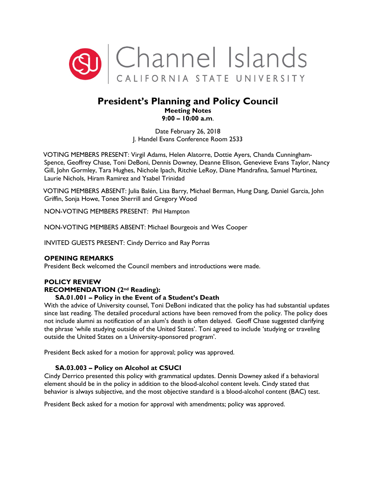

# **President's Planning and Policy Council Meeting Notes 9:00 – 10:00 a.m**.

Date February 26, 2018 J. Handel Evans Conference Room 2533

VOTING MEMBERS PRESENT: Virgil Adams, Helen Alatorre, Dottie Ayers, Chanda Cunningham-Spence, Geoffrey Chase, Toni DeBoni, Dennis Downey, Deanne Ellison, Genevieve Evans Taylor, Nancy Gill, John Gormley, Tara Hughes, Nichole Ipach, Ritchie LeRoy, Diane Mandrafina, Samuel Martinez, Laurie Nichols, Hiram Ramirez and Ysabel Trinidad

VOTING MEMBERS ABSENT: Julia Balén, Lisa Barry, Michael Berman, Hung Dang, Daniel Garcia, John Griffin, Sonja Howe, Tonee Sherrill and Gregory Wood

NON-VOTING MEMBERS PRESENT: Phil Hampton

NON-VOTING MEMBERS ABSENT: Michael Bourgeois and Wes Cooper

INVITED GUESTS PRESENT: Cindy Derrico and Ray Porras

# **OPENING REMARKS**

President Beck welcomed the Council members and introductions were made.

# **POLICY REVIEW**

## **RECOMMENDATION (2nd Reading):**

### **SA.01.001 – Policy in the Event of a Student's Death**

With the advice of University counsel, Toni DeBoni indicated that the policy has had substantial updates since last reading. The detailed procedural actions have been removed from the policy. The policy does not include alumni as notification of an alum's death is often delayed. Geoff Chase suggested clarifying the phrase 'while studying outside of the United States'. Toni agreed to include 'studying or traveling outside the United States on a University-sponsored program'.

President Beck asked for a motion for approval; policy was approved.

# **SA.03.003 – Policy on Alcohol at CSUCI**

Cindy Derrico presented this policy with grammatical updates. Dennis Downey asked if a behavioral element should be in the policy in addition to the blood-alcohol content levels. Cindy stated that behavior is always subjective, and the most objective standard is a blood-alcohol content (BAC) test.

President Beck asked for a motion for approval with amendments; policy was approved.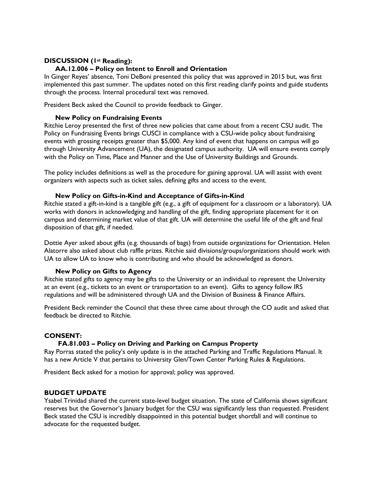## **DISCUSSION (1st Reading):**

### **AA.12.006 – Policy on Intent to Enroll and Orientation**

In Ginger Reyes' absence, Toni DeBoni presented this policy that was approved in 2015 but, was first implemented this past summer. The updates noted on this first reading clarify points and guide students through the process. Internal procedural text was removed.

President Beck asked the Council to provide feedback to Ginger.

### **New Policy on Fundraising Events**

Ritchie Leroy presented the first of three new policies that came about from a recent CSU audit. The Policy on Fundraising Events brings CUSCI in compliance with a CSU-wide policy about fundraising events with grossing receipts greater than \$5,000. Any kind of event that happens on campus will go through University Advancement (UA), the designated campus authority. UA will ensure events comply with the Policy on Time, Place and Manner and the Use of University Buildings and Grounds.

The policy includes definitions as well as the procedure for gaining approval. UA will assist with event organizers with aspects such as ticket sales, defining gifts and access to the event.

#### **New Policy on Gifts-in-Kind and Acceptance of Gifts-in-Kind**

Ritchie stated a gift-in-kind is a tangible gift (e.g., a gift of equipment for a classroom or a laboratory). UA works with donors in acknowledging and handling of the gift, finding appropriate placement for it on campus and determining market value of that gift. UA will determine the useful life of the gift and final disposition of that gift, if needed.

Dottie Ayer asked about gifts (e.g. thousands of bags) from outside organizations for Orientation. Helen Alatorre also asked about club raffle prizes. Ritchie said divisions/groups/organizations should work with UA to allow UA to know who is contributing and who should be acknowledged as donors.

#### **New Policy on Gifts to Agency**

Ritchie stated gifts to agency may be gifts to the University or an individual to represent the University at an event (e.g., tickets to an event or transportation to an event). Gifts to agency follow IRS regulations and will be administered through UA and the Division of Business & Finance Affairs.

President Beck reminder the Council that these three came about through the CO audit and asked that feedback be directed to Ritchie.

### **CONSENT:**

### **FA.81.003 – Policy on Driving and Parking on Campus Property**

Ray Porras stated the policy's only update is in the attached [Parking and Traffic Regulations Manual.](https://www.csuci.edu/publicsafety/parking/Parking_Regulations.htm) It has a new Article V that pertains to University Glen/Town Center Parking Rules & Regulations.

President Beck asked for a motion for approval; policy was approved.

#### **BUDGET UPDATE**

Ysabel Trinidad shared the current state-level budget situation. The state of California shows significant reserves but the Governor's January budget for the CSU was significantly less than requested. President Beck stated the CSU is incredibly disappointed in this potential budget shortfall and will continue to advocate for the requested budget.